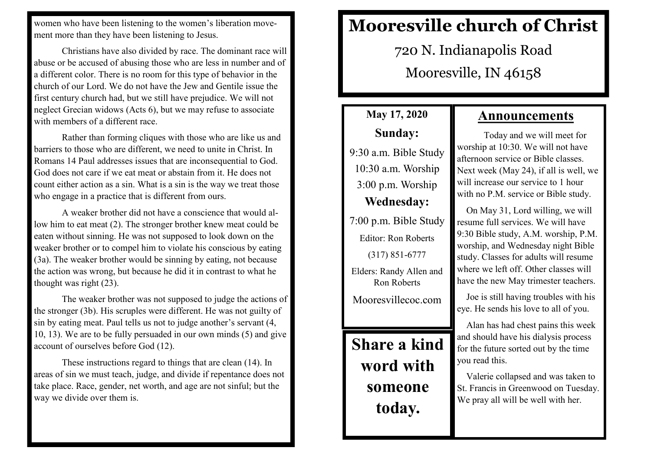women who have been listening to the women's liberation movement more than they have been listening to Jesus.

Christians have also divided by race. The dominant race will abuse or be accused of abusing those who are less in number and of a different color. There is no room for this type of behavior in the church of our Lord. We do not have the Jew and Gentile issue the first century church had, but we still have prejudice. We will not neglect Grecian widows (Acts 6), but we may refuse to associate with members of a different race.

Rather than forming cliques with those who are like us and barriers to those who are different, we need to unite in Christ. In Romans 14 Paul addresses issues that are inconsequential to God. God does not care if we eat meat or abstain from it. He does not count either action as a sin. What is a sin is the way we treat those who engage in a practice that is different from ours.

A weaker brother did not have a conscience that would allow him to eat meat (2). The stronger brother knew meat could be eaten without sinning. He was not supposed to look down on the weaker brother or to compel him to violate his conscious by eating (3a). The weaker brother would be sinning by eating, not because the action was wrong, but because he did it in contrast to what he thought was right (23).

The weaker brother was not supposed to judge the actions of the stronger (3b). His scruples were different. He was not guilty of sin by eating meat. Paul tells us not to judge another's servant (4, 10, 13). We are to be fully persuaded in our own minds (5) and give account of ourselves before God (12).

These instructions regard to things that are clean (14). In areas of sin we must teach, judge, and divide if repentance does not take place. Race, gender, net worth, and age are not sinful; but the way we divide over them is.

## **Mooresville church of Christ**

720 N. Indianapolis Road Mooresville, IN 46158

## **May 17, 2020 Sunday:**

9:30 a.m. Bible Study 10:30 a.m. Worship 3:00 p.m. Worship **Wednesday:**

7:00 p.m. Bible Study

Editor: Ron Roberts (317) 851-6777

Elders: Randy Allen and Ron Roberts

Mooresvillecoc.com

**Share a kind word with someone today.**

## **Announcements**

Today and we will meet for worship at 10:30. We will not have afternoon service or Bible classes. Next week (May 24), if all is well, we will increase our service to 1 hour with no P.M. service or Bible study.

 On May 31, Lord willing, we will resume full services. We will have 9:30 Bible study, A.M. worship, P.M. worship, and Wednesday night Bible study. Classes for adults will resume where we left off. Other classes will have the new May trimester teachers.

 Joe is still having troubles with his eye. He sends his love to all of you.

 Alan has had chest pains this week and should have his dialysis process for the future sorted out by the time you read this.

 Valerie collapsed and was taken to St. Francis in Greenwood on Tuesday. We pray all will be well with her.